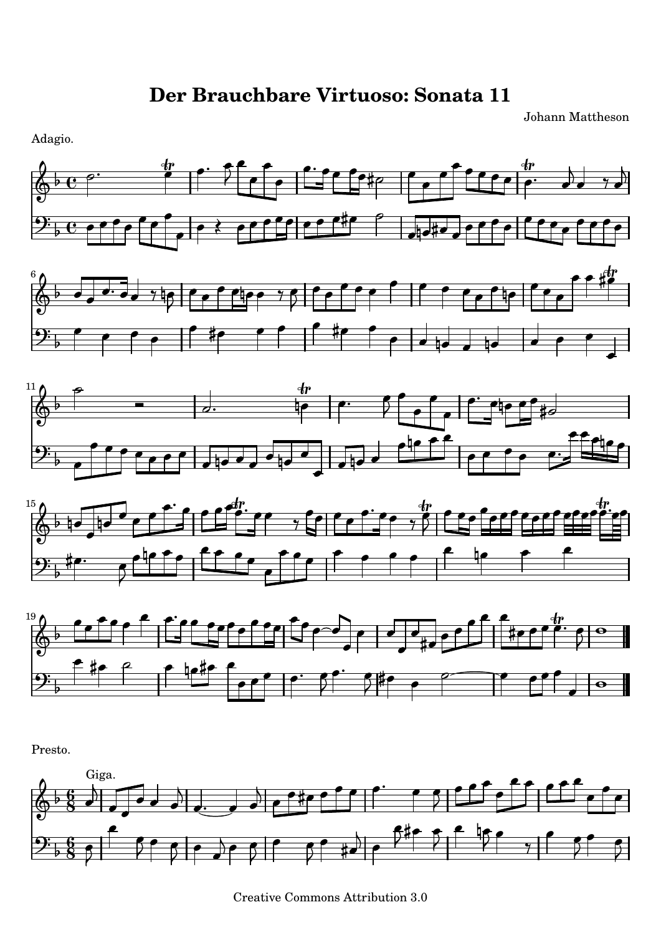Johann Mattheson

Adagio.











Presto.



Creative Commons Attribution 3.0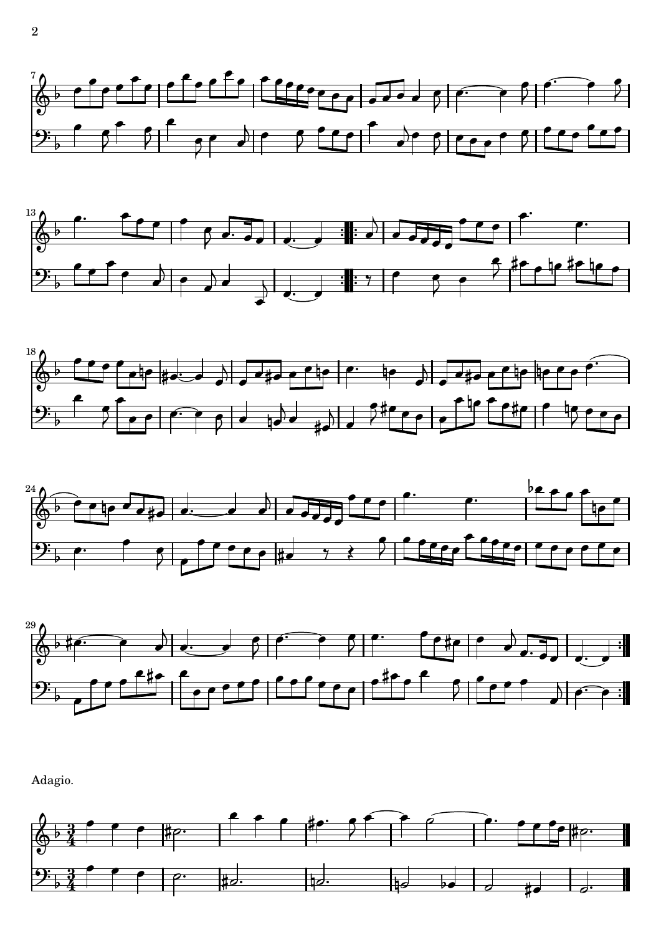









Adagio.

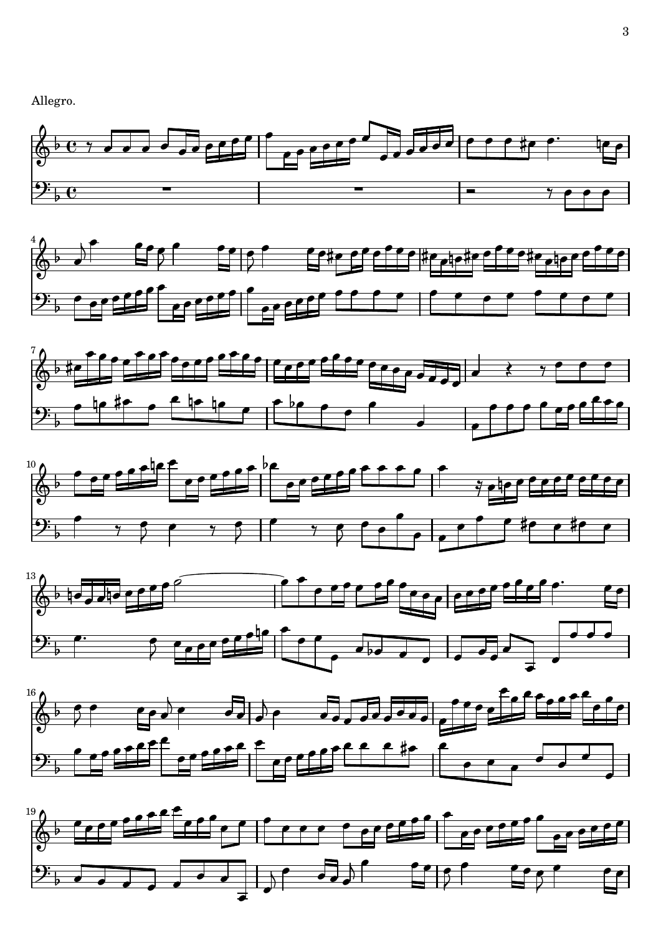Allegro.